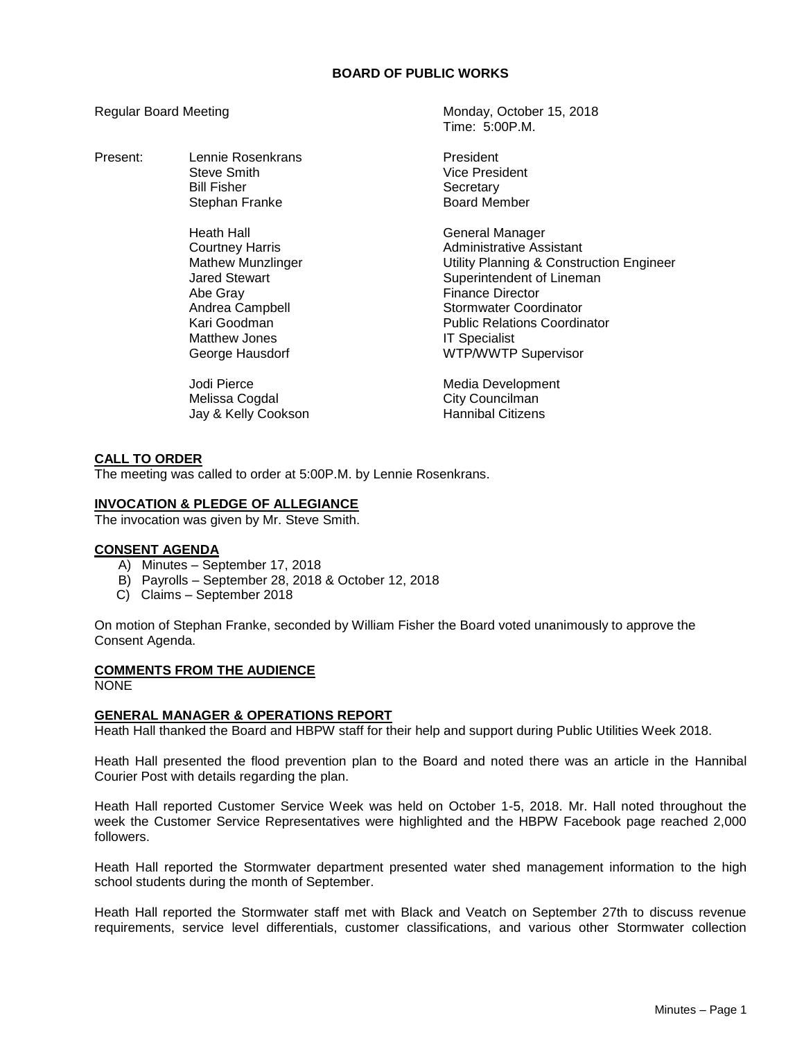# **BOARD OF PUBLIC WORKS**

Present: Lennie Rosenkrans President Steve Smith Vice President Stephan Franke

> Heath Hall General Manager Abe Gray **Finance Director** Matthew Jones **IT Specialist**

Jodi Pierce **Media Development** Melissa Cogdal City Councilman Jay & Kelly Cookson

Regular Board Meeting Monday, October 15, 2018 Time: 5:00P.M.

Bill Fisher National Secretary<br>Stephan Franke National Secretary Secretary

Courtney Harris **Administrative Assistant** Mathew Munzlinger Utility Planning & Construction Engineer Jared Stewart **Superintendent of Lineman** Andrea Campbell **Stormwater Coordinator** Kari Goodman **Public Relations Coordinator** George Hausdorf **WIFING ACCOMPANY** Supervisor

# **CALL TO ORDER**

The meeting was called to order at 5:00P.M. by Lennie Rosenkrans.

### **INVOCATION & PLEDGE OF ALLEGIANCE**

The invocation was given by Mr. Steve Smith.

#### **CONSENT AGENDA**

- A) Minutes September 17, 2018
- B) Payrolls September 28, 2018 & October 12, 2018
- C) Claims September 2018

On motion of Stephan Franke, seconded by William Fisher the Board voted unanimously to approve the Consent Agenda.

#### **COMMENTS FROM THE AUDIENCE**

NONE

# **GENERAL MANAGER & OPERATIONS REPORT**

Heath Hall thanked the Board and HBPW staff for their help and support during Public Utilities Week 2018.

Heath Hall presented the flood prevention plan to the Board and noted there was an article in the Hannibal Courier Post with details regarding the plan.

Heath Hall reported Customer Service Week was held on October 1-5, 2018. Mr. Hall noted throughout the week the Customer Service Representatives were highlighted and the HBPW Facebook page reached 2,000 followers.

Heath Hall reported the Stormwater department presented water shed management information to the high school students during the month of September.

Heath Hall reported the Stormwater staff met with Black and Veatch on September 27th to discuss revenue requirements, service level differentials, customer classifications, and various other Stormwater collection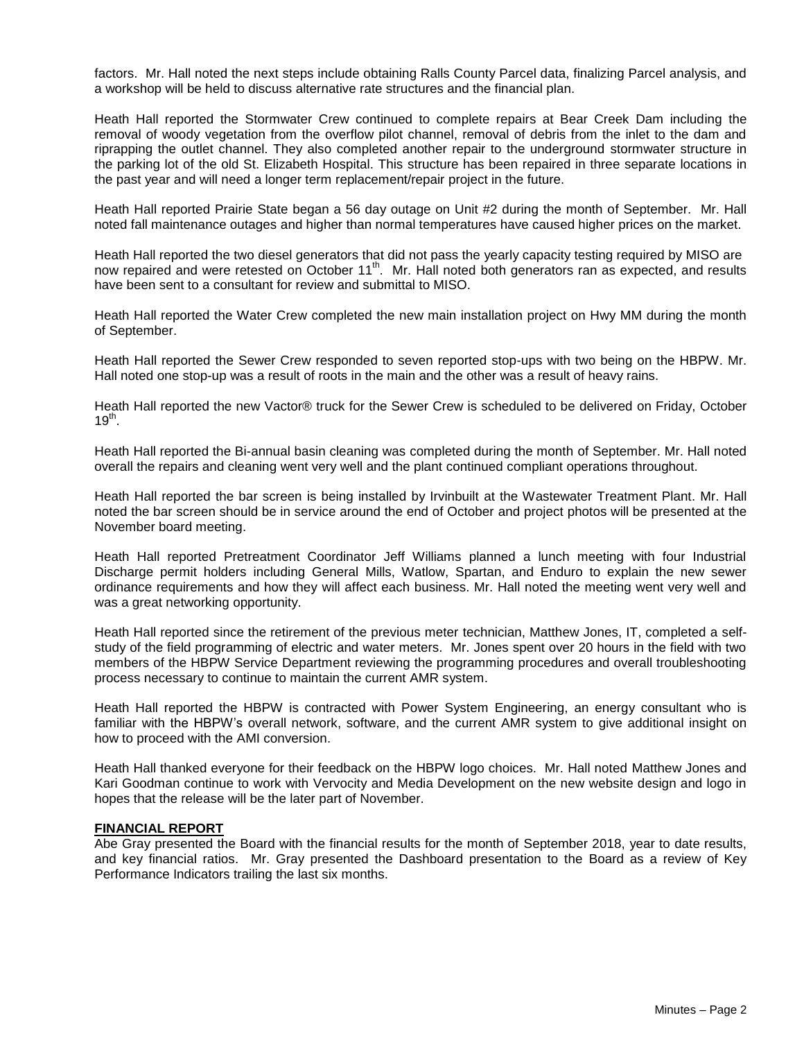factors. Mr. Hall noted the next steps include obtaining Ralls County Parcel data, finalizing Parcel analysis, and a workshop will be held to discuss alternative rate structures and the financial plan.

Heath Hall reported the Stormwater Crew continued to complete repairs at Bear Creek Dam including the removal of woody vegetation from the overflow pilot channel, removal of debris from the inlet to the dam and riprapping the outlet channel. They also completed another repair to the underground stormwater structure in the parking lot of the old St. Elizabeth Hospital. This structure has been repaired in three separate locations in the past year and will need a longer term replacement/repair project in the future.

Heath Hall reported Prairie State began a 56 day outage on Unit #2 during the month of September. Mr. Hall noted fall maintenance outages and higher than normal temperatures have caused higher prices on the market.

Heath Hall reported the two diesel generators that did not pass the yearly capacity testing required by MISO are now repaired and were retested on October 11<sup>th</sup>. Mr. Hall noted both generators ran as expected, and results have been sent to a consultant for review and submittal to MISO.

Heath Hall reported the Water Crew completed the new main installation project on Hwy MM during the month of September.

Heath Hall reported the Sewer Crew responded to seven reported stop-ups with two being on the HBPW. Mr. Hall noted one stop-up was a result of roots in the main and the other was a result of heavy rains.

Heath Hall reported the new Vactor® truck for the Sewer Crew is scheduled to be delivered on Friday, October  $19<sup>th</sup>$ .

Heath Hall reported the Bi-annual basin cleaning was completed during the month of September. Mr. Hall noted overall the repairs and cleaning went very well and the plant continued compliant operations throughout.

Heath Hall reported the bar screen is being installed by Irvinbuilt at the Wastewater Treatment Plant. Mr. Hall noted the bar screen should be in service around the end of October and project photos will be presented at the November board meeting.

Heath Hall reported Pretreatment Coordinator Jeff Williams planned a lunch meeting with four Industrial Discharge permit holders including General Mills, Watlow, Spartan, and Enduro to explain the new sewer ordinance requirements and how they will affect each business. Mr. Hall noted the meeting went very well and was a great networking opportunity.

Heath Hall reported since the retirement of the previous meter technician, Matthew Jones, IT, completed a selfstudy of the field programming of electric and water meters. Mr. Jones spent over 20 hours in the field with two members of the HBPW Service Department reviewing the programming procedures and overall troubleshooting process necessary to continue to maintain the current AMR system.

Heath Hall reported the HBPW is contracted with Power System Engineering, an energy consultant who is familiar with the HBPW's overall network, software, and the current AMR system to give additional insight on how to proceed with the AMI conversion.

Heath Hall thanked everyone for their feedback on the HBPW logo choices. Mr. Hall noted Matthew Jones and Kari Goodman continue to work with Vervocity and Media Development on the new website design and logo in hopes that the release will be the later part of November.

#### **FINANCIAL REPORT**

Abe Gray presented the Board with the financial results for the month of September 2018, year to date results, and key financial ratios. Mr. Gray presented the Dashboard presentation to the Board as a review of Key Performance Indicators trailing the last six months.